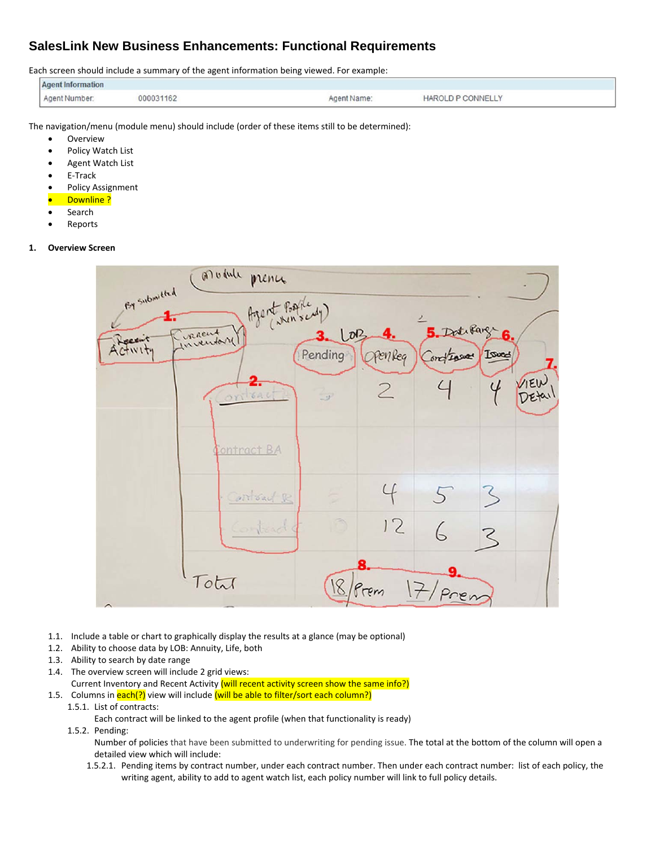## **SalesLink New Business Enhancements: Functional Requirements**

Each screen should include a summary of the agent information being viewed. For example:

| Agent Information |           |             |                                                                            |
|-------------------|-----------|-------------|----------------------------------------------------------------------------|
| Agent Number:     | 000031162 | Agent Name. | <b>HAROLD P CONNELLY</b><br>and the state of the state of the state of the |

The navigation/menu (module menu) should include (order of these items still to be determined):

- Overview
- Policy Watch List
- Agent Watch List
- E‐Track
- Policy Assignment
- Downline ?
- Search
- Reports
- **1. Overview Screen**



- 1.1. Include a table or chart to graphically display the results at a glance (may be optional)
- 1.2. Ability to choose data by LOB: Annuity, Life, both
- 1.3. Ability to search by date range
- 1.4. The overview screen will include 2 grid views: Current Inventory and Recent Activity (will recent activity screen show the same info?)
- 1.5. Columns in each(?) view will include (will be able to filter/sort each column?)
	- 1.5.1. List of contracts:

Each contract will be linked to the agent profile (when that functionality is ready)

1.5.2. Pending:

Number of policies that have been submitted to underwriting for pending issue. The total at the bottom of the column will open a detailed view which will include:

1.5.2.1. Pending items by contract number, under each contract number. Then under each contract number: list of each policy, the writing agent, ability to add to agent watch list, each policy number will link to full policy details.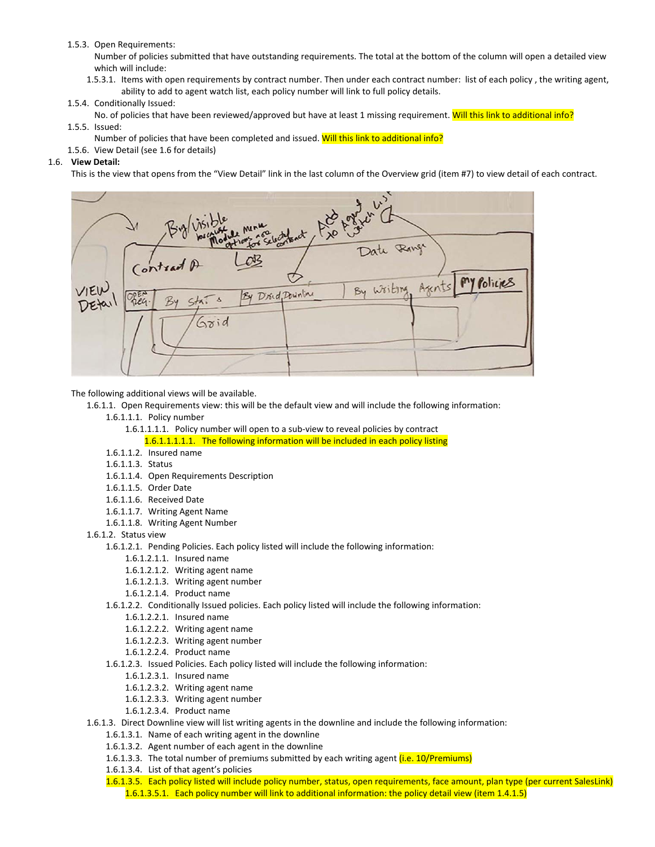## 1.5.3. Open Requirements:

Number of policies submitted that have outstanding requirements. The total at the bottom of the column will open a detailed view which will include:

1.5.3.1. Items with open requirements by contract number. Then under each contract number: list of each policy , the writing agent, ability to add to agent watch list, each policy number will link to full policy details.

## 1.5.4. Conditionally Issued:

- No. of policies that have been reviewed/approved but have at least 1 missing requirement. Will this link to additional info?
- 1.5.5. Issued:
	- Number of policies that have been completed and issued. Will this link to additional info?
- 1.5.6. View Detail (see 1.6 for details)

## 1.6. **View Detail:**

This is the view that opens from the "View Detail" link in the last column of the Overview grid (item #7) to view detail of each contract.



The following additional views will be available.

- 1.6.1.1. Open Requirements view: this will be the default view and will include the following information:
	- 1.6.1.1.1. Policy number
		- 1.6.1.1.1.1. Policy number will open to a sub‐view to reveal policies by contract
			- 1.6.1.1.1.1.1. The following information will be included in each policy listing
	- 1.6.1.1.2. Insured name
	- 1.6.1.1.3. Status
	- 1.6.1.1.4. Open Requirements Description
	- 1.6.1.1.5. Order Date
	- 1.6.1.1.6. Received Date
	- 1.6.1.1.7. Writing Agent Name
	- 1.6.1.1.8. Writing Agent Number
- 1.6.1.2. Status view
	- 1.6.1.2.1. Pending Policies. Each policy listed will include the following information:
		- 1.6.1.2.1.1. Insured name
		- 1.6.1.2.1.2. Writing agent name
		- 1.6.1.2.1.3. Writing agent number
		- 1.6.1.2.1.4. Product name
	- 1.6.1.2.2. Conditionally Issued policies. Each policy listed will include the following information:
		- 1.6.1.2.2.1. Insured name
		- 1.6.1.2.2.2. Writing agent name
		- 1.6.1.2.2.3. Writing agent number
		- 1.6.1.2.2.4. Product name
	- 1.6.1.2.3. Issued Policies. Each policy listed will include the following information:
		- 1.6.1.2.3.1. Insured name
		- 1.6.1.2.3.2. Writing agent name
		- 1.6.1.2.3.3. Writing agent number
		- 1.6.1.2.3.4. Product name
- 1.6.1.3. Direct Downline view will list writing agents in the downline and include the following information:
	- 1.6.1.3.1. Name of each writing agent in the downline
	- 1.6.1.3.2. Agent number of each agent in the downline
	- 1.6.1.3.3. The total number of premiums submitted by each writing agent (i.e. 10/Premiums)
	- 1.6.1.3.4. List of that agent's policies
	- 1.6.1.3.5. Each policy listed will include policy number, status, open requirements, face amount, plan type (per current SalesLink) 1.6.1.3.5.1. Each policy number will link to additional information: the policy detail view (item 1.4.1.5)